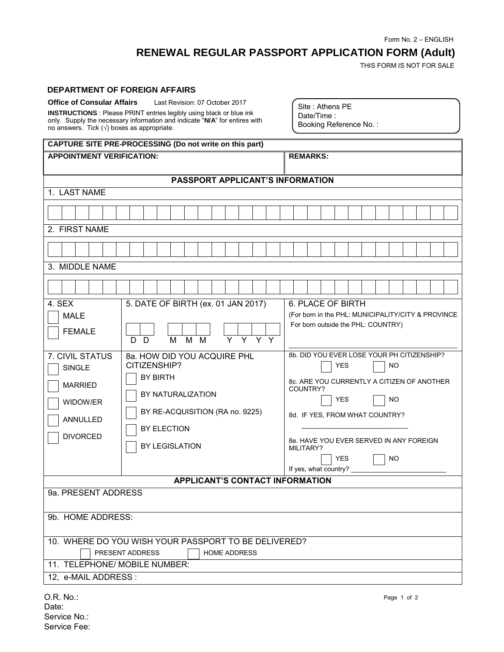Form No. 2 – ENGLISH

## **RENEWAL REGULAR PASSPORT APPLICATION FORM (Adult)**

THIS FORM IS NOT FOR SALE

## **DEPARTMENT OF FOREIGN AFFAIRS**

| <b>Office of Consular Affairs</b>                                                                                                                        | Last Revision: 07 October 2017 |  |  |  |  |
|----------------------------------------------------------------------------------------------------------------------------------------------------------|--------------------------------|--|--|--|--|
| <b>INSTRUCTIONS</b> : Please PRINT entries legibly using black or blue ink<br>only. Supply the necessary information and indicate "N/A" for entires with |                                |  |  |  |  |
| no answers. Tick $(\sqrt{})$ boxes as appropriate.                                                                                                       |                                |  |  |  |  |

Site : Athens PE Date/Time : Booking Reference No. :

| CAPTURE SITE PRE-PROCESSING (Do not write on this part)                                       |                                                                                                                                                                |                                                                                                                                                                                                                                                                                                          |  |  |  |  |
|-----------------------------------------------------------------------------------------------|----------------------------------------------------------------------------------------------------------------------------------------------------------------|----------------------------------------------------------------------------------------------------------------------------------------------------------------------------------------------------------------------------------------------------------------------------------------------------------|--|--|--|--|
| <b>APPOINTMENT VERIFICATION:</b>                                                              |                                                                                                                                                                | <b>REMARKS:</b>                                                                                                                                                                                                                                                                                          |  |  |  |  |
| PASSPORT APPLICANT'S INFORMATION                                                              |                                                                                                                                                                |                                                                                                                                                                                                                                                                                                          |  |  |  |  |
| 1. LAST NAME                                                                                  |                                                                                                                                                                |                                                                                                                                                                                                                                                                                                          |  |  |  |  |
|                                                                                               |                                                                                                                                                                |                                                                                                                                                                                                                                                                                                          |  |  |  |  |
|                                                                                               |                                                                                                                                                                |                                                                                                                                                                                                                                                                                                          |  |  |  |  |
| 2. FIRST NAME                                                                                 |                                                                                                                                                                |                                                                                                                                                                                                                                                                                                          |  |  |  |  |
|                                                                                               |                                                                                                                                                                |                                                                                                                                                                                                                                                                                                          |  |  |  |  |
| 3. MIDDLE NAME                                                                                |                                                                                                                                                                |                                                                                                                                                                                                                                                                                                          |  |  |  |  |
|                                                                                               |                                                                                                                                                                |                                                                                                                                                                                                                                                                                                          |  |  |  |  |
| 4. SEX                                                                                        | 5. DATE OF BIRTH (ex. 01 JAN 2017)                                                                                                                             | <b>6. PLACE OF BIRTH</b>                                                                                                                                                                                                                                                                                 |  |  |  |  |
| <b>MALE</b>                                                                                   |                                                                                                                                                                | (For born in the PHL: MUNICIPALITY/CITY & PROVINCE                                                                                                                                                                                                                                                       |  |  |  |  |
| <b>FEMALE</b>                                                                                 | $\overline{Y}$ $\overline{Y}$ $\overline{Y}$ $\overline{Y}$<br>$M$ $M$<br>M<br>D D                                                                             | For born outside the PHL: COUNTRY)                                                                                                                                                                                                                                                                       |  |  |  |  |
| 7. CIVIL STATUS<br><b>SINGLE</b><br><b>MARRIED</b><br>WIDOW/ER<br>ANNULLED<br><b>DIVORCED</b> | 8a. HOW DID YOU ACQUIRE PHL<br>CITIZENSHIP?<br><b>BY BIRTH</b><br>BY NATURALIZATION<br>BY RE-ACQUISITION (RA no. 9225)<br>BY ELECTION<br><b>BY LEGISLATION</b> | 8b. DID YOU EVER LOSE YOUR PH CITIZENSHIP?<br><b>YES</b><br><b>NO</b><br>8c. ARE YOU CURRENTLY A CITIZEN OF ANOTHER<br>COUNTRY?<br><b>YES</b><br><b>NO</b><br>8d. IF YES, FROM WHAT COUNTRY?<br>8e. HAVE YOU EVER SERVED IN ANY FOREIGN<br>MILITARY?<br><b>YES</b><br><b>NO</b><br>If yes, what country? |  |  |  |  |
| <b>APPLICANT'S CONTACT INFORMATION</b>                                                        |                                                                                                                                                                |                                                                                                                                                                                                                                                                                                          |  |  |  |  |
| 9a. PRESENT ADDRESS                                                                           |                                                                                                                                                                |                                                                                                                                                                                                                                                                                                          |  |  |  |  |
| 9b. HOME ADDRESS:                                                                             |                                                                                                                                                                |                                                                                                                                                                                                                                                                                                          |  |  |  |  |
| 10. WHERE DO YOU WISH YOUR PASSPORT TO BE DELIVERED?                                          |                                                                                                                                                                |                                                                                                                                                                                                                                                                                                          |  |  |  |  |
| PRESENT ADDRESS<br><b>HOME ADDRESS</b>                                                        |                                                                                                                                                                |                                                                                                                                                                                                                                                                                                          |  |  |  |  |
| 11. TELEPHONE/ MOBILE NUMBER:                                                                 |                                                                                                                                                                |                                                                                                                                                                                                                                                                                                          |  |  |  |  |
| 12, e-MAIL ADDRESS :                                                                          |                                                                                                                                                                |                                                                                                                                                                                                                                                                                                          |  |  |  |  |
| $OR$ No:                                                                                      |                                                                                                                                                                | Page 1 of 2                                                                                                                                                                                                                                                                                              |  |  |  |  |

O.R. No.: [Date:](http://www.chicagopcg.com/) Service No.: Service Fee: